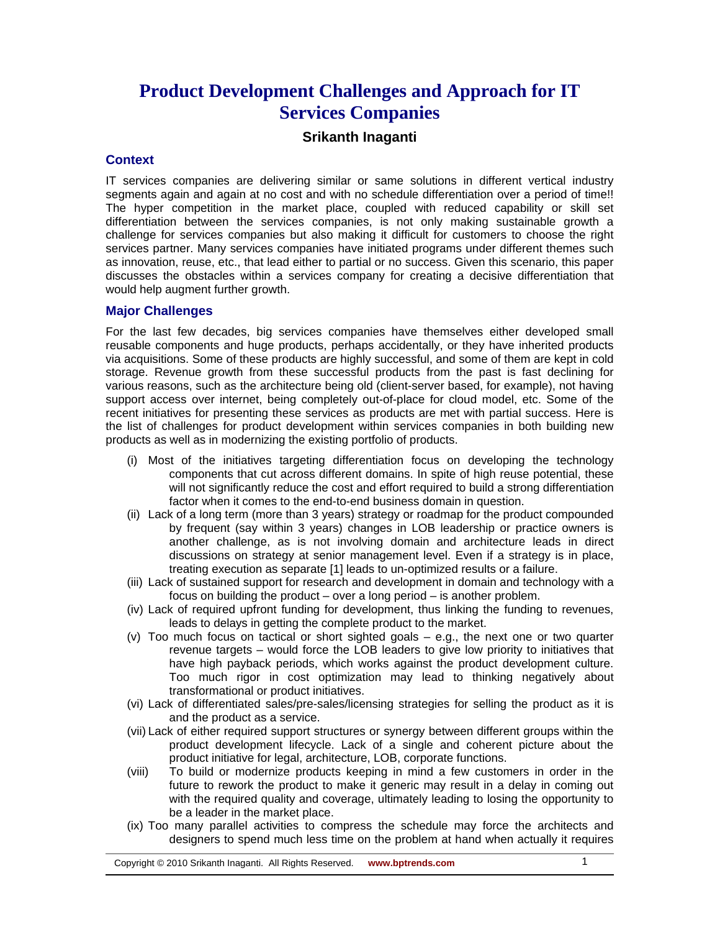# **Product Development Challenges and Approach for IT Services Companies**

# **Srikanth Inaganti**

#### **Context**

IT services companies are delivering similar or same solutions in different vertical industry segments again and again at no cost and with no schedule differentiation over a period of time!! The hyper competition in the market place, coupled with reduced capability or skill set differentiation between the services companies, is not only making sustainable growth a challenge for services companies but also making it difficult for customers to choose the right services partner. Many services companies have initiated programs under different themes such as innovation, reuse, etc., that lead either to partial or no success. Given this scenario, this paper discusses the obstacles within a services company for creating a decisive differentiation that would help augment further growth.

#### **Major Challenges**

For the last few decades, big services companies have themselves either developed small reusable components and huge products, perhaps accidentally, or they have inherited products via acquisitions. Some of these products are highly successful, and some of them are kept in cold storage. Revenue growth from these successful products from the past is fast declining for various reasons, such as the architecture being old (client-server based, for example), not having support access over internet, being completely out-of-place for cloud model, etc. Some of the recent initiatives for presenting these services as products are met with partial success. Here is the list of challenges for product development within services companies in both building new products as well as in modernizing the existing portfolio of products.

- (i) Most of the initiatives targeting differentiation focus on developing the technology components that cut across different domains. In spite of high reuse potential, these will not significantly reduce the cost and effort required to build a strong differentiation factor when it comes to the end-to-end business domain in question.
- (ii) Lack of a long term (more than 3 years) strategy or roadmap for the product compounded by frequent (say within 3 years) changes in LOB leadership or practice owners is another challenge, as is not involving domain and architecture leads in direct discussions on strategy at senior management level. Even if a strategy is in place, treating execution as separate [1] leads to un-optimized results or a failure.
- (iii) Lack of sustained support for research and development in domain and technology with a focus on building the product – over a long period – is another problem.
- (iv) Lack of required upfront funding for development, thus linking the funding to revenues, leads to delays in getting the complete product to the market.
- (v) Too much focus on tactical or short sighted goals e.g., the next one or two quarter revenue targets – would force the LOB leaders to give low priority to initiatives that have high payback periods, which works against the product development culture. Too much rigor in cost optimization may lead to thinking negatively about transformational or product initiatives.
- (vi) Lack of differentiated sales/pre-sales/licensing strategies for selling the product as it is and the product as a service.
- (vii) Lack of either required support structures or synergy between different groups within the product development lifecycle. Lack of a single and coherent picture about the product initiative for legal, architecture, LOB, corporate functions.
- (viii) To build or modernize products keeping in mind a few customers in order in the future to rework the product to make it generic may result in a delay in coming out with the required quality and coverage, ultimately leading to losing the opportunity to be a leader in the market place.
- (ix) Too many parallel activities to compress the schedule may force the architects and designers to spend much less time on the problem at hand when actually it requires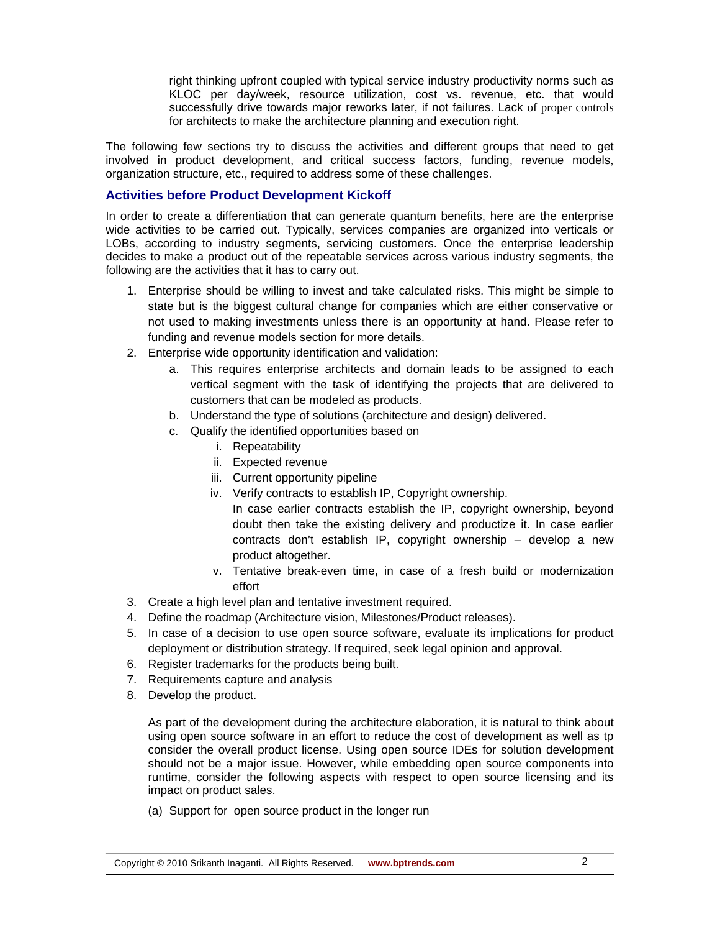right thinking upfront coupled with typical service industry productivity norms such as KLOC per day/week, resource utilization, cost vs. revenue, etc. that would successfully drive towards major reworks later, if not failures. Lack of proper controls for architects to make the architecture planning and execution right.

The following few sections try to discuss the activities and different groups that need to get involved in product development, and critical success factors, funding, revenue models, organization structure, etc., required to address some of these challenges.

# **Activities before Product Development Kickoff**

In order to create a differentiation that can generate quantum benefits, here are the enterprise wide activities to be carried out. Typically, services companies are organized into verticals or LOBs, according to industry segments, servicing customers. Once the enterprise leadership decides to make a product out of the repeatable services across various industry segments, the following are the activities that it has to carry out.

- 1. Enterprise should be willing to invest and take calculated risks. This might be simple to state but is the biggest cultural change for companies which are either conservative or not used to making investments unless there is an opportunity at hand. Please refer to funding and revenue models section for more details.
- 2. Enterprise wide opportunity identification and validation:
	- a. This requires enterprise architects and domain leads to be assigned to each vertical segment with the task of identifying the projects that are delivered to customers that can be modeled as products.
	- b. Understand the type of solutions (architecture and design) delivered.
	- c. Qualify the identified opportunities based on
		- i. Repeatability
		- ii. Expected revenue
		- iii. Current opportunity pipeline
		- iv. Verify contracts to establish IP, Copyright ownership.
			- In case earlier contracts establish the IP, copyright ownership, beyond doubt then take the existing delivery and productize it. In case earlier contracts don't establish IP, copyright ownership – develop a new product altogether.
		- v. Tentative break-even time, in case of a fresh build or modernization effort
- 3. Create a high level plan and tentative investment required.
- 4. Define the roadmap (Architecture vision, Milestones/Product releases).
- 5. In case of a decision to use open source software, evaluate its implications for product deployment or distribution strategy. If required, seek legal opinion and approval.
- 6. Register trademarks for the products being built.
- 7. Requirements capture and analysis
- 8. Develop the product.

As part of the development during the architecture elaboration, it is natural to think about using open source software in an effort to reduce the cost of development as well as tp consider the overall product license. Using open source IDEs for solution development should not be a major issue. However, while embedding open source components into runtime, consider the following aspects with respect to open source licensing and its impact on product sales.

(a) Support for open source product in the longer run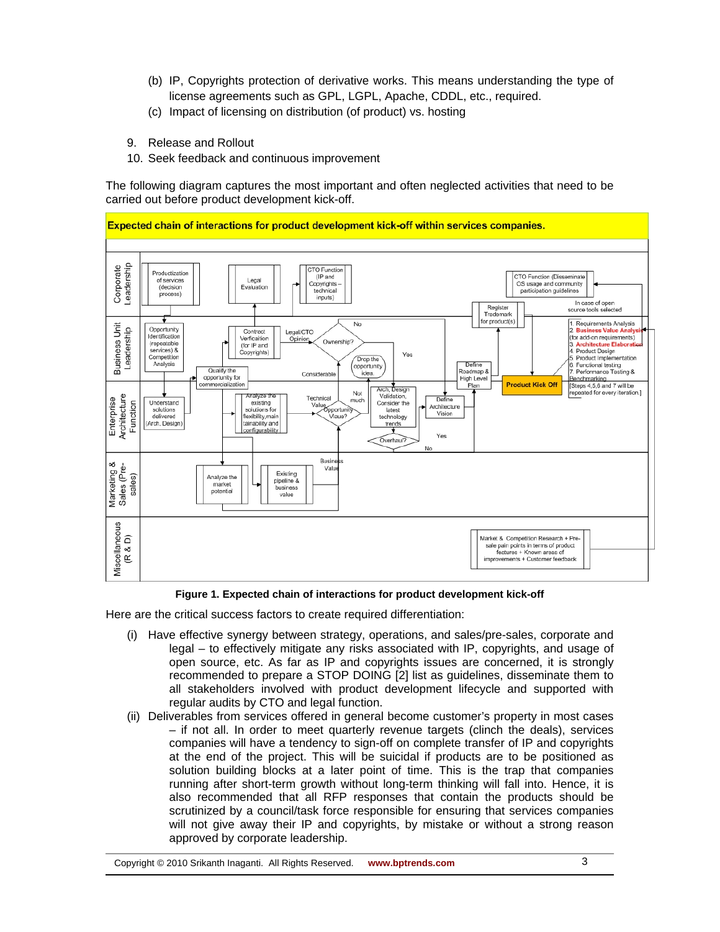- (b) IP, Copyrights protection of derivative works. This means understanding the type of license agreements such as GPL, LGPL, Apache, CDDL, etc., required.
- (c) Impact of licensing on distribution (of product) vs. hosting
- 9. Release and Rollout
- 10. Seek feedback and continuous improvement

The following diagram captures the most important and often neglected activities that need to be carried out before product development kick-off.



#### **Figure 1. Expected chain of interactions for product development kick-off**

Here are the critical success factors to create required differentiation:

- (i) Have effective synergy between strategy, operations, and sales/pre-sales, corporate and legal – to effectively mitigate any risks associated with IP, copyrights, and usage of open source, etc. As far as IP and copyrights issues are concerned, it is strongly recommended to prepare a STOP DOING [2] list as guidelines, disseminate them to all stakeholders involved with product development lifecycle and supported with regular audits by CTO and legal function.
- (ii) Deliverables from services offered in general become customer's property in most cases – if not all. In order to meet quarterly revenue targets (clinch the deals), services companies will have a tendency to sign-off on complete transfer of IP and copyrights at the end of the project. This will be suicidal if products are to be positioned as solution building blocks at a later point of time. This is the trap that companies running after short-term growth without long-term thinking will fall into. Hence, it is also recommended that all RFP responses that contain the products should be scrutinized by a council/task force responsible for ensuring that services companies will not give away their IP and copyrights, by mistake or without a strong reason approved by corporate leadership.

Copyright © 2010 Srikanth Inaganti. All Rights Reserved. **www.bptrends.com** 3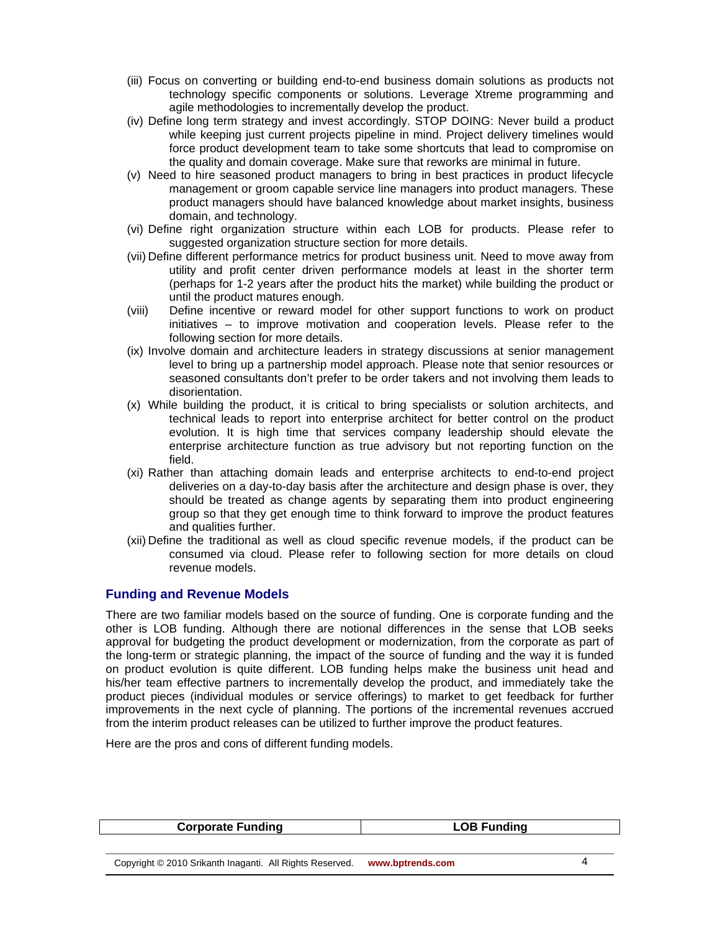- (iii) Focus on converting or building end-to-end business domain solutions as products not technology specific components or solutions. Leverage Xtreme programming and agile methodologies to incrementally develop the product.
- (iv) Define long term strategy and invest accordingly. STOP DOING: Never build a product while keeping just current projects pipeline in mind. Project delivery timelines would force product development team to take some shortcuts that lead to compromise on the quality and domain coverage. Make sure that reworks are minimal in future.
- (v) Need to hire seasoned product managers to bring in best practices in product lifecycle management or groom capable service line managers into product managers. These product managers should have balanced knowledge about market insights, business domain, and technology.
- (vi) Define right organization structure within each LOB for products. Please refer to suggested organization structure section for more details.
- (vii) Define different performance metrics for product business unit. Need to move away from utility and profit center driven performance models at least in the shorter term (perhaps for 1-2 years after the product hits the market) while building the product or until the product matures enough.
- (viii) Define incentive or reward model for other support functions to work on product initiatives – to improve motivation and cooperation levels. Please refer to the following section for more details.
- (ix) Involve domain and architecture leaders in strategy discussions at senior management level to bring up a partnership model approach. Please note that senior resources or seasoned consultants don't prefer to be order takers and not involving them leads to disorientation.
- (x) While building the product, it is critical to bring specialists or solution architects, and technical leads to report into enterprise architect for better control on the product evolution. It is high time that services company leadership should elevate the enterprise architecture function as true advisory but not reporting function on the field.
- (xi) Rather than attaching domain leads and enterprise architects to end-to-end project deliveries on a day-to-day basis after the architecture and design phase is over, they should be treated as change agents by separating them into product engineering group so that they get enough time to think forward to improve the product features and qualities further.
- (xii) Define the traditional as well as cloud specific revenue models, if the product can be consumed via cloud. Please refer to following section for more details on cloud revenue models.

# **Funding and Revenue Models**

There are two familiar models based on the source of funding. One is corporate funding and the other is LOB funding. Although there are notional differences in the sense that LOB seeks approval for budgeting the product development or modernization, from the corporate as part of the long-term or strategic planning, the impact of the source of funding and the way it is funded on product evolution is quite different. LOB funding helps make the business unit head and his/her team effective partners to incrementally develop the product, and immediately take the product pieces (individual modules or service offerings) to market to get feedback for further improvements in the next cycle of planning. The portions of the incremental revenues accrued from the interim product releases can be utilized to further improve the product features.

Here are the pros and cons of different funding models.

| <b>Corporate Funding</b>                                 | <b>LOB Funding</b> |  |
|----------------------------------------------------------|--------------------|--|
|                                                          |                    |  |
| Copyright © 2010 Srikanth Inaganti. All Rights Reserved. | www.bptrends.com   |  |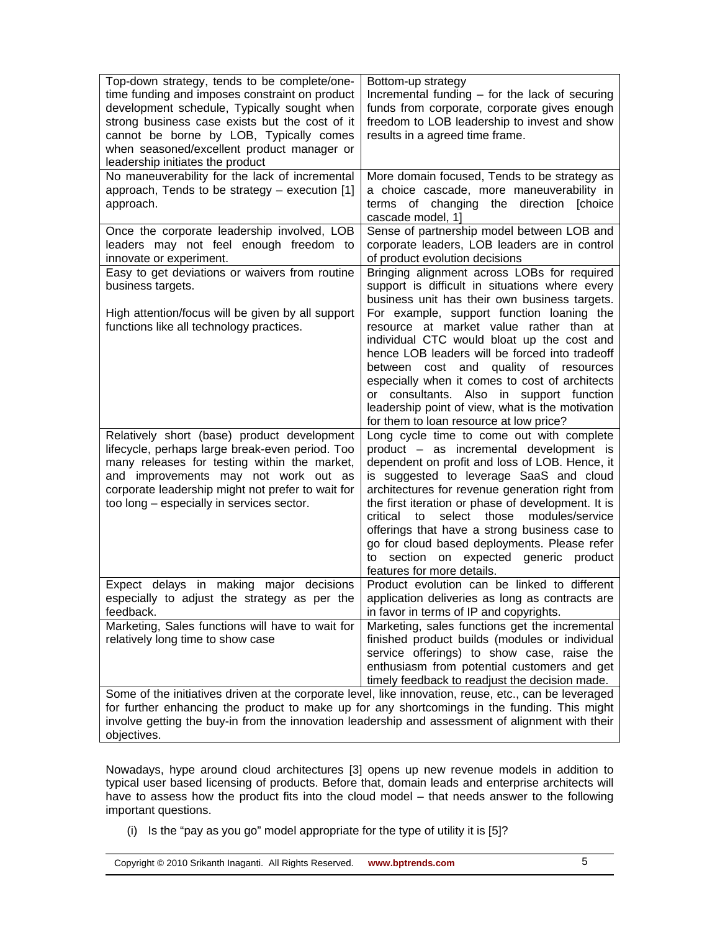| Top-down strategy, tends to be complete/one-<br>time funding and imposes constraint on product<br>development schedule, Typically sought when<br>strong business case exists but the cost of it<br>cannot be borne by LOB, Typically comes<br>when seasoned/excellent product manager or<br>leadership initiates the product | Bottom-up strategy<br>Incremental funding $-$ for the lack of securing<br>funds from corporate, corporate gives enough<br>freedom to LOB leadership to invest and show<br>results in a agreed time frame.                                                                                                                                                                                                                                                                                                                |  |
|------------------------------------------------------------------------------------------------------------------------------------------------------------------------------------------------------------------------------------------------------------------------------------------------------------------------------|--------------------------------------------------------------------------------------------------------------------------------------------------------------------------------------------------------------------------------------------------------------------------------------------------------------------------------------------------------------------------------------------------------------------------------------------------------------------------------------------------------------------------|--|
| No maneuverability for the lack of incremental<br>approach, Tends to be strategy $-$ execution [1]<br>approach.                                                                                                                                                                                                              | More domain focused, Tends to be strategy as<br>a choice cascade, more maneuverability in<br>terms of changing the direction<br>[choice<br>cascade model, 1]                                                                                                                                                                                                                                                                                                                                                             |  |
| Once the corporate leadership involved, LOB<br>leaders may not feel enough freedom to<br>innovate or experiment.<br>Easy to get deviations or waivers from routine<br>business targets.<br>High attention/focus will be given by all support<br>functions like all technology practices.                                     | Sense of partnership model between LOB and<br>corporate leaders, LOB leaders are in control<br>of product evolution decisions<br>Bringing alignment across LOBs for required<br>support is difficult in situations where every<br>business unit has their own business targets.<br>For example, support function loaning the<br>resource at market value rather than at<br>individual CTC would bloat up the cost and                                                                                                    |  |
|                                                                                                                                                                                                                                                                                                                              | hence LOB leaders will be forced into tradeoff<br>and quality of resources<br>cost<br>between<br>especially when it comes to cost of architects<br>or consultants. Also in support function<br>leadership point of view, what is the motivation<br>for them to loan resource at low price?                                                                                                                                                                                                                               |  |
| Relatively short (base) product development<br>lifecycle, perhaps large break-even period. Too<br>many releases for testing within the market,<br>and improvements may not work out as<br>corporate leadership might not prefer to wait for<br>too long - especially in services sector.                                     | Long cycle time to come out with complete<br>product - as incremental development is<br>dependent on profit and loss of LOB. Hence, it<br>is suggested to leverage SaaS and cloud<br>architectures for revenue generation right from<br>the first iteration or phase of development. It is<br>critical<br>select those<br>to<br>modules/service<br>offerings that have a strong business case to<br>go for cloud based deployments. Please refer<br>to section on expected generic product<br>features for more details. |  |
| Expect delays in making major decisions<br>especially to adjust the strategy as per the<br>feedback.                                                                                                                                                                                                                         | Product evolution can be linked to different<br>application deliveries as long as contracts are<br>in favor in terms of IP and copyrights.                                                                                                                                                                                                                                                                                                                                                                               |  |
| Marketing, Sales functions will have to wait for<br>relatively long time to show case                                                                                                                                                                                                                                        | Marketing, sales functions get the incremental<br>finished product builds (modules or individual<br>service offerings) to show case, raise the<br>enthusiasm from potential customers and get<br>timely feedback to readjust the decision made.                                                                                                                                                                                                                                                                          |  |
| Some of the initiatives driven at the corporate level, like innovation, reuse, etc., can be leveraged<br>for further enhancing the product to make up for any shortcomings in the funding. This might<br>involve getting the buy-in from the innovation leadership and assessment of alignment with their<br>objectives.     |                                                                                                                                                                                                                                                                                                                                                                                                                                                                                                                          |  |

Nowadays, hype around cloud architectures [3] opens up new revenue models in addition to typical user based licensing of products. Before that, domain leads and enterprise architects will have to assess how the product fits into the cloud model – that needs answer to the following important questions.

(i) Is the "pay as you go" model appropriate for the type of utility it is [5]?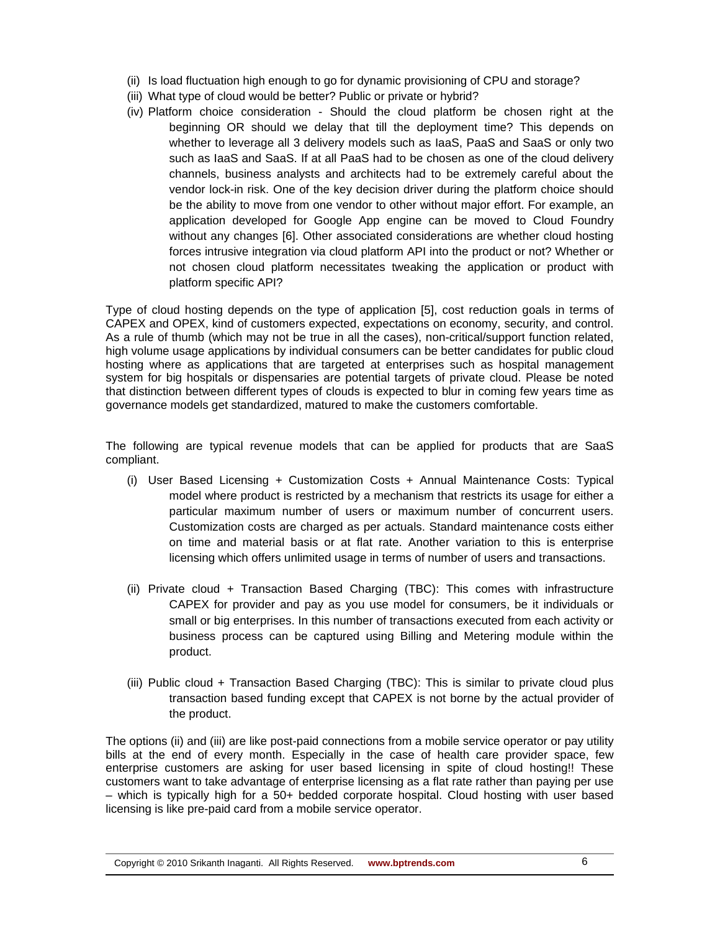- (ii) Is load fluctuation high enough to go for dynamic provisioning of CPU and storage?
- (iii) What type of cloud would be better? Public or private or hybrid?
- (iv) Platform choice consideration Should the cloud platform be chosen right at the beginning OR should we delay that till the deployment time? This depends on whether to leverage all 3 delivery models such as IaaS, PaaS and SaaS or only two such as IaaS and SaaS. If at all PaaS had to be chosen as one of the cloud delivery channels, business analysts and architects had to be extremely careful about the vendor lock-in risk. One of the key decision driver during the platform choice should be the ability to move from one vendor to other without major effort. For example, an application developed for Google App engine can be moved to Cloud Foundry without any changes [6]. Other associated considerations are whether cloud hosting forces intrusive integration via cloud platform API into the product or not? Whether or not chosen cloud platform necessitates tweaking the application or product with platform specific API?

Type of cloud hosting depends on the type of application [5], cost reduction goals in terms of CAPEX and OPEX, kind of customers expected, expectations on economy, security, and control. As a rule of thumb (which may not be true in all the cases), non-critical/support function related, high volume usage applications by individual consumers can be better candidates for public cloud hosting where as applications that are targeted at enterprises such as hospital management system for big hospitals or dispensaries are potential targets of private cloud. Please be noted that distinction between different types of clouds is expected to blur in coming few years time as governance models get standardized, matured to make the customers comfortable.

The following are typical revenue models that can be applied for products that are SaaS compliant.

- (i) User Based Licensing + Customization Costs + Annual Maintenance Costs: Typical model where product is restricted by a mechanism that restricts its usage for either a particular maximum number of users or maximum number of concurrent users. Customization costs are charged as per actuals. Standard maintenance costs either on time and material basis or at flat rate. Another variation to this is enterprise licensing which offers unlimited usage in terms of number of users and transactions.
- (ii) Private cloud + Transaction Based Charging (TBC): This comes with infrastructure CAPEX for provider and pay as you use model for consumers, be it individuals or small or big enterprises. In this number of transactions executed from each activity or business process can be captured using Billing and Metering module within the product.
- (iii) Public cloud + Transaction Based Charging (TBC): This is similar to private cloud plus transaction based funding except that CAPEX is not borne by the actual provider of the product.

The options (ii) and (iii) are like post-paid connections from a mobile service operator or pay utility bills at the end of every month. Especially in the case of health care provider space, few enterprise customers are asking for user based licensing in spite of cloud hosting!! These customers want to take advantage of enterprise licensing as a flat rate rather than paying per use – which is typically high for a 50+ bedded corporate hospital. Cloud hosting with user based licensing is like pre-paid card from a mobile service operator.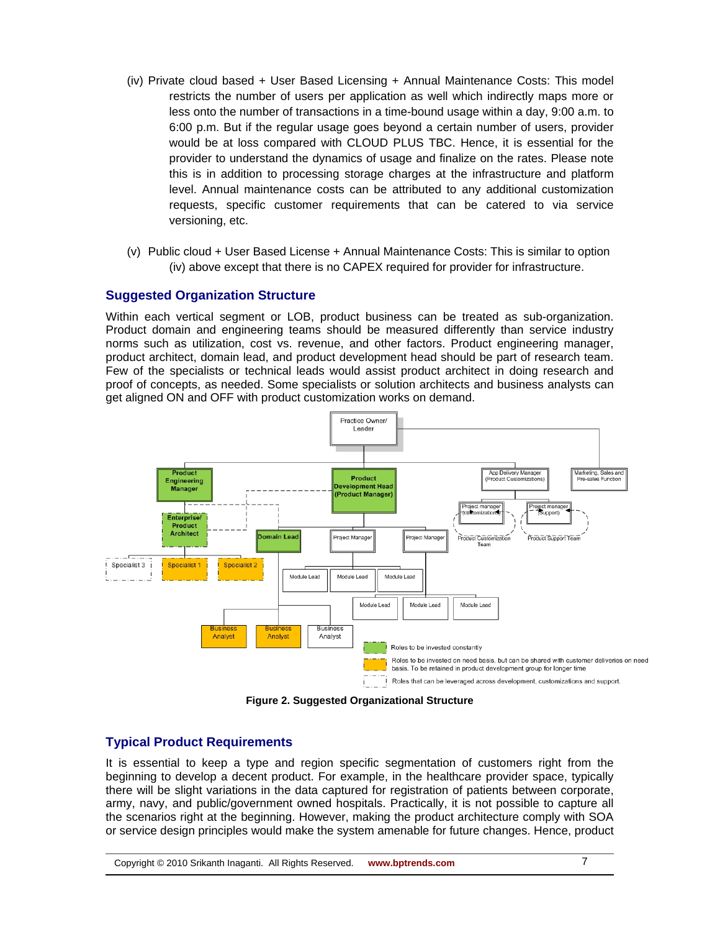- (iv) Private cloud based + User Based Licensing + Annual Maintenance Costs: This model restricts the number of users per application as well which indirectly maps more or less onto the number of transactions in a time-bound usage within a day, 9:00 a.m. to 6:00 p.m. But if the regular usage goes beyond a certain number of users, provider would be at loss compared with CLOUD PLUS TBC. Hence, it is essential for the provider to understand the dynamics of usage and finalize on the rates. Please note this is in addition to processing storage charges at the infrastructure and platform level. Annual maintenance costs can be attributed to any additional customization requests, specific customer requirements that can be catered to via service versioning, etc.
- (v) Public cloud + User Based License + Annual Maintenance Costs: This is similar to option (iv) above except that there is no CAPEX required for provider for infrastructure.

# **Suggested Organization Structure**

Within each vertical segment or LOB, product business can be treated as sub-organization. Product domain and engineering teams should be measured differently than service industry norms such as utilization, cost vs. revenue, and other factors. Product engineering manager, product architect, domain lead, and product development head should be part of research team. Few of the specialists or technical leads would assist product architect in doing research and proof of concepts, as needed. Some specialists or solution architects and business analysts can get aligned ON and OFF with product customization works on demand.



**Figure 2. Suggested Organizational Structure** 

# **Typical Product Requirements**

It is essential to keep a type and region specific segmentation of customers right from the beginning to develop a decent product. For example, in the healthcare provider space, typically there will be slight variations in the data captured for registration of patients between corporate, army, navy, and public/government owned hospitals. Practically, it is not possible to capture all the scenarios right at the beginning. However, making the product architecture comply with SOA or service design principles would make the system amenable for future changes. Hence, product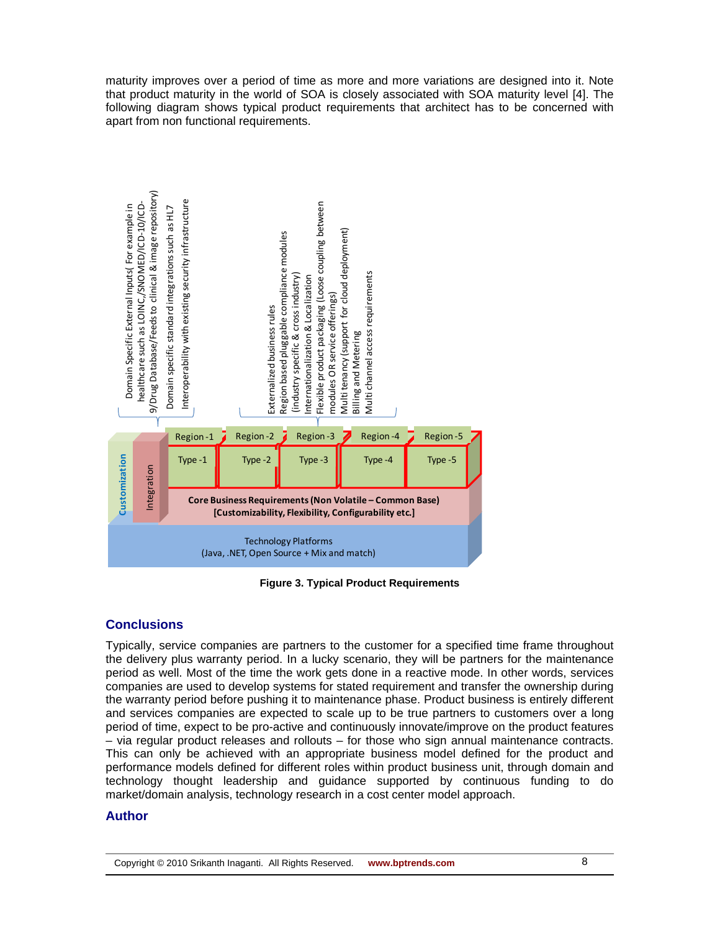maturity improves over a period of time as more and more variations are designed into it. Note that product maturity in the world of SOA is closely associated with SOA maturity level [4]. The following diagram shows typical product requirements that architect has to be concerned with apart from non functional requirements.



**Figure 3. Typical Product Requirements** 

# **Conclusions**

Typically, service companies are partners to the customer for a specified time frame throughout the delivery plus warranty period. In a lucky scenario, they will be partners for the maintenance period as well. Most of the time the work gets done in a reactive mode. In other words, services companies are used to develop systems for stated requirement and transfer the ownership during the warranty period before pushing it to maintenance phase. Product business is entirely different and services companies are expected to scale up to be true partners to customers over a long period of time, expect to be pro-active and continuously innovate/improve on the product features – via regular product releases and rollouts – for those who sign annual maintenance contracts. This can only be achieved with an appropriate business model defined for the product and performance models defined for different roles within product business unit, through domain and technology thought leadership and guidance supported by continuous funding to do market/domain analysis, technology research in a cost center model approach.

# **Author**